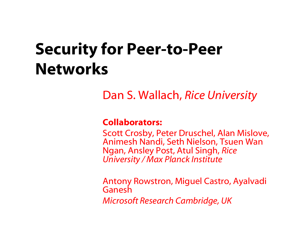### Security for Peer-to-Peer Networks

Dan S. Wallach, *Rice University*

#### Collaborators:

Scott Crosby, Peter Druschel, Alan Mislove, Animesh Nandi, Seth Nielson, Tsuen Wan Ngan, Ansley Post, Atul Singh, *Rice University / Max Planck Institute*

Antony Rowstron, Miguel Castro, Ayalvadi Ganesh*Microsoft Research Cambridge, UK*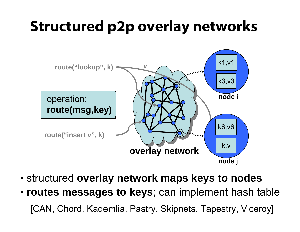### Structured p2p overlay networks



- structured **overlay network maps keys to nodes**
- **routes messages to keys**; can implement hash table [CAN, Chord, Kademlia, Pastry, Skipnets, Tapestry, Viceroy]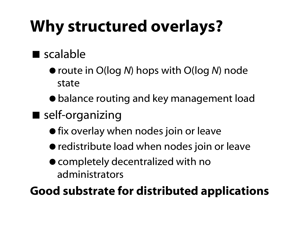# Why structured overlays?

#### scalable

- route in O(log *N*) hops with O(log *N*) node state
- balance routing and key management load
- self-organizing
	- **•** fix overlay when nodes join or leave
	- redistribute load when nodes join or leave
	- completely decentralized with no administrators

### Good substrate for distributed applications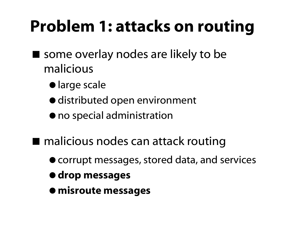### Problem 1: attacks on routing

- some overlay nodes are likely to be malicious
	- $\bullet$  large scale
	- $\bullet$  distributed open environment
	- $\bullet$  no special administration
- malicious nodes can attack routing
	- corrupt messages, stored data, and services
	- $\bullet$  **drop messages**
	- $\bullet$  misroute messages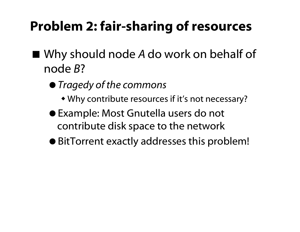### Problem 2: fair-sharing of resources

- Why should node *A* do work on behalf of node *B*?
	- *Tragedy of the commons*
		- Why contribute resources if it's not necessary?
	- Example: Most Gnutella users do not contribute disk space to the network
	- BitTorrent exactly addresses this problem!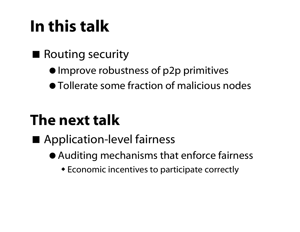## In this talk

#### ■ Routing security

- Improve robustness of p2p primitives
- Tollerate some fraction of malicious nodes

### The next talk

#### **Application-level fairness**

- Auditing mechanisms that enforce fairness
	- Economic incentives to participate correctly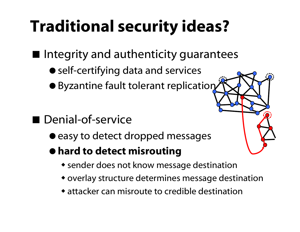### Traditional security ideas?

**I** Integrity and authenticity guarantees

- self-certifying data and services
- **Byzantine fault tolerant replication**

#### **Denial-of-service**

- $\bullet$  easy to detect dropped messages
- hard to detect misrouting
	- sender does not know message destination
	- overlay structure determines message destination
	- attacker can misroute to credible destination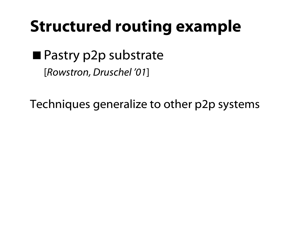### Structured routing example

**Pastry p2p substrate** [*Rowstron, Druschel '01* ]

Techniques generalize to other p2p systems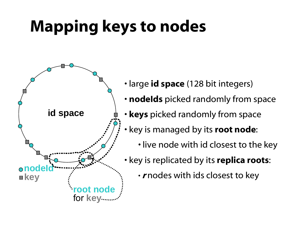# Mapping keys to nodes



- large **id space** (128 bit integers)
- nodelds picked randomly from space
- keys picked randomly from space
- key is managed by its **root node**:
	- live node with id closest to the key
- key is replicated by its **replica roots**:
	- $\boldsymbol{\cdot}$   $\boldsymbol{r}$ nodes with ids closest to key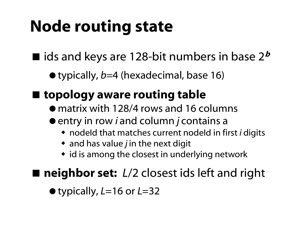## Node routing state

 $\blacksquare$  ids and keys are 128-bit numbers in base 2 $^{\boldsymbol{b}}$ 

typically, *b*=4 (hexadecimal, base 16)

#### ■ topology aware routing table

- matrix with 128/4 rows and 16 columns
- entry in row *i* and column *j* contains a
	- nodeId that matches current nodeId in first *i* digits
	- and has value *j* in the next digit
	- id is among the closest in underlying network

#### ■ neighbor set: *L*/2 closest ids left and right

typically, *L*=16 or *L*=32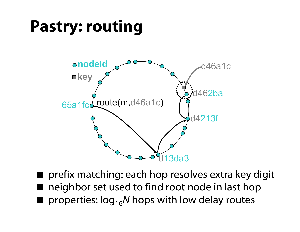### Pastry: routing



**P** prefix matching: each hop resolves extra key digit neighbor set used to find root node in last hop  $\blacksquare$  properties:  $\log_{16}N$  hops with low delay routes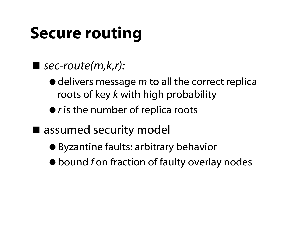# Secure routing

#### *sec-route(m,k,r):*

- $\bullet$  delivers message *m* to all the correct replica roots of key *k* with high probability
- $\bullet$  *r* is the number of replica roots
- assumed security model
	- Byzantine faults: arbitrary behavior
	- bound *f* on fraction of faulty overlay nodes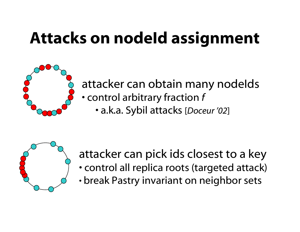## Attacks on nodeId assignment



#### attacker can obtain many nodeIds • control arbitrary fraction *f*

• a.k.a. Sybil attacks [*Doceur '02* ]



attacker can pick ids closest to a key

- control all replica roots (targeted attack)
- •break Pastry invariant on neighbor sets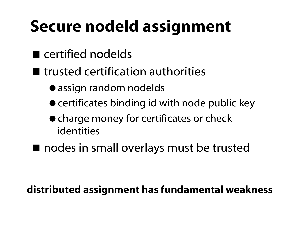### Secure nodeld assignment

- certified nodelds
- $\blacksquare$  trusted certification authorities
	- assign random nodelds
	- **certificates binding id with node public key**
	- charge money for certificates or check identities
- nodes in small overlays must be trusted

#### distributed assignment has fundamental weakness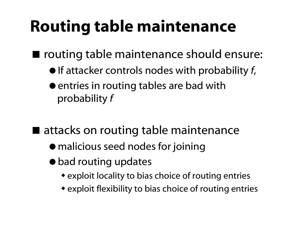### Routing table maintenance

■ routing table maintenance should ensure:

- $\bullet$  If attacker controls nodes with probability  $f$ ,
- entries in routing tables are bad with probability *f*
- attacks on routing table maintenance
	- malicious seed nodes for joining
	- $\bullet$  bad routing updates
		- exploit locality to bias choice of routing entries
		- exploit flexibility to bias choice of routing entries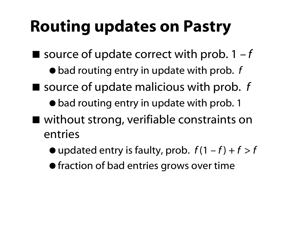### Routing updates on Pastry

- $\blacksquare$  source of update correct with prob.  $1 f$ 
	- $\bullet$  bad routing entry in update with prob. f
- source of update malicious with prob. f
	- $\bullet$  bad routing entry in update with prob. 1
- without strong, verifiable constraints on entries
	- $\bullet$  updated entry is faulty, prob.  $f(1-f) + f > f$
	- **•** fraction of bad entries grows over time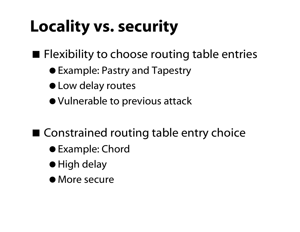## Locality vs. security

 $\blacksquare$  Flexibility to choose routing table entries

- Example: Pastry and Tapestry
- Low delay routes
- Vulnerable to previous attack

■ Constrained routing table entry choice

- Example: Chord
- High delay
- More secure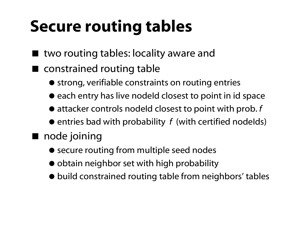## Secure routing tables

- two routing tables: locality aware and
- constrained routing table
	- $\bullet$  strong, verifiable constraints on routing entries
	- each entry has live nodeId closest to point in id space
	- attacker controls nodeId closest to point with prob. *f*
	- $\bullet$  entries bad with probability  $\,f\,$  (with certified nodelds)

#### ■ node joining

- secure routing from multiple seed nodes
- $\bullet$  obtain neighbor set with high probability
- build constrained routing table from neighbors' tables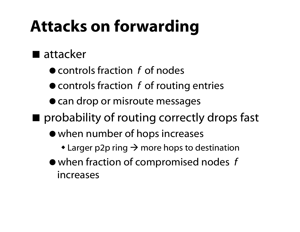### Attacks on forwarding

#### ■ attacker

- controls fraction *f* of nodes
- controls fraction *f* of routing entries
- can drop or misroute messages
- **Perobability of routing correctly drops fast** 
	- when number of hops increases
		- $\bullet$  Larger p2p ring  $\rightarrow$  more hops to destination
	- when fraction of compromised nodes *f*  increases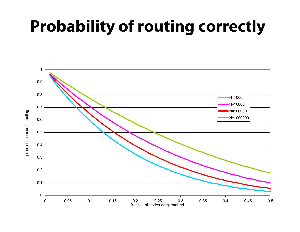### Probability of routing correctly

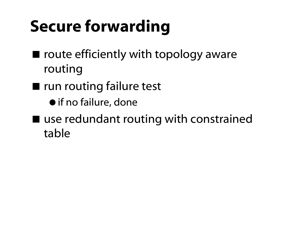## Secure forwarding

- $\blacksquare$  route efficiently with topology aware routing
- **The run routing failure test** 
	- if no failure, done
- use redundant routing with constrained table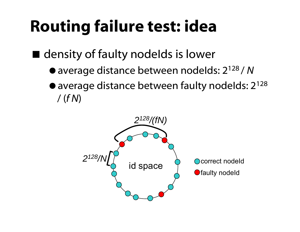### Routing failure test: idea

■ density of faulty nodelds is lower

- average distance between nodeIds: 2128 / *N*
- $\bullet$  average distance between faulty nodelds: 2<sup>128</sup> / (*f N* )

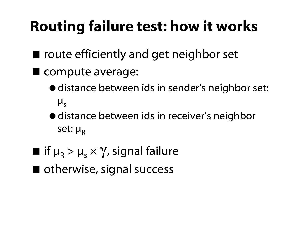### Routing failure test: how it works

- route efficiently and get neighbor set
- **Compute average:** 
	- distance between ids in sender's neighbor set:  $\boldsymbol{\mu}_{\sf s}$
	- distance between ids in receiver's neighbor set: µ<sub>R</sub>
- $\blacksquare$  if  $\mu_{\mathsf{R}} > \mu_{\mathsf{s}}$  $\times$   $\gamma$ , signal failure
- otherwise, signal success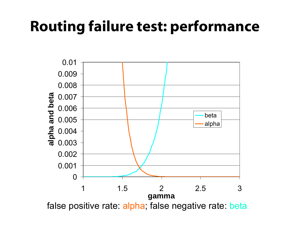### Routing failure test: performance



false positive rate: alpha; false negative rate: beta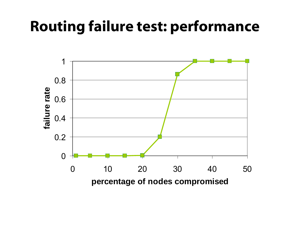### Routing failure test: performance

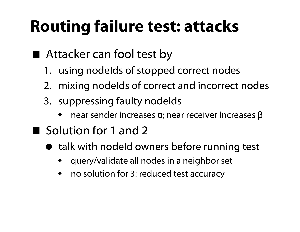### Routing failure test: attacks

- Attacker can fool test by
	- 1. using nodeIds of stopped correct nodes
	- 2. mixing nodelds of correct and incorrect nodes
	- 3. suppressing faulty nodelds
		- ♦ • near sender increases α; near receiver increases β
- Solution for 1 and 2
	- talk with nodeId owners before running test
		- ♦ query/validate all nodes in a neighbor set
		- ♦ no solution for 3: reduced test accuracy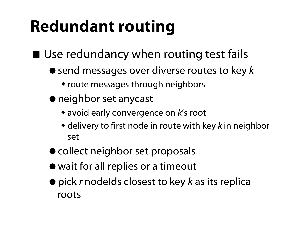## Redundant routing

Use redundancy when routing test fails

- $\bullet$  send messages over diverse routes to key  $k$ 
	- route messages through neighbors
- neighbor set anycast
	- avoid early convergence on *k*'s root
	- delivery to first node in route with key *k* in neighbor set
- collect neighbor set proposals
- wait for all replies or a timeout
- pick *r* nodeIds closest to key *k* as its replica roots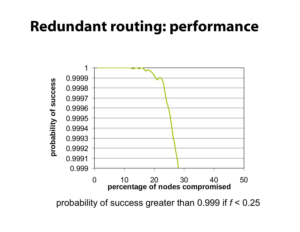### Redundant routing: performance



probability of success greater than 0.999 if *f* < 0.25